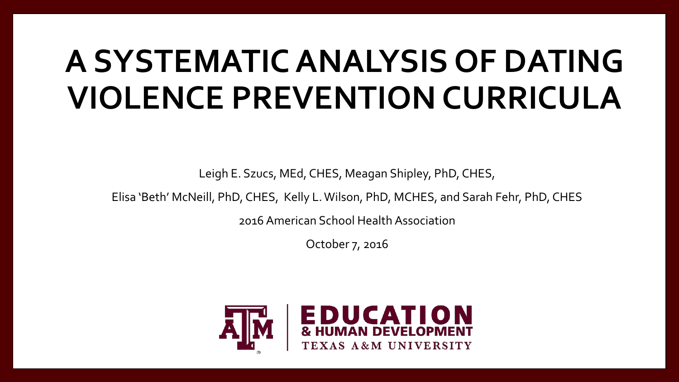# **A SYSTEMATIC ANALYSIS OF DATING VIOLENCE PREVENTION CURRICULA**

Leigh E. Szucs, MEd, CHES, Meagan Shipley, PhD, CHES,

Elisa 'Beth' McNeill, PhD, CHES, Kelly L. Wilson, PhD, MCHES, and Sarah Fehr, PhD, CHES

2016 American School Health Association

October 7, 2016

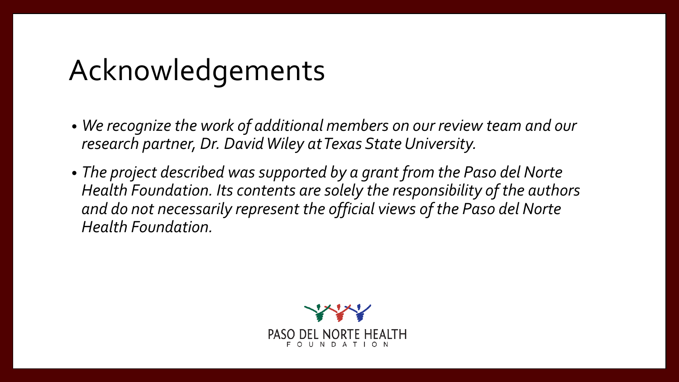### Acknowledgements

- *We recognize the work of additional members on our review team and our research partner, Dr. David Wiley at Texas State University.*
- *The project described was supported by a grant from the Paso del Norte Health Foundation. Its contents are solely the responsibility of the authors and do not necessarily represent the official views of the Paso del Norte Health Foundation.*

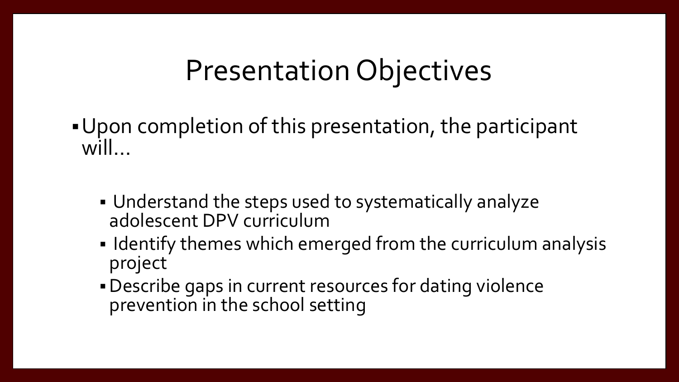### Presentation Objectives

- Upon completion of this presentation, the participant will…
	- Understand the steps used to systematically analyze adolescent DPV curriculum
	- **IDENTIFY THE EXAMULT EXAMUM IDENTIFY themes which emerged from the curriculum analysis** project
	- Describe gaps in current resources for dating violence prevention in the school setting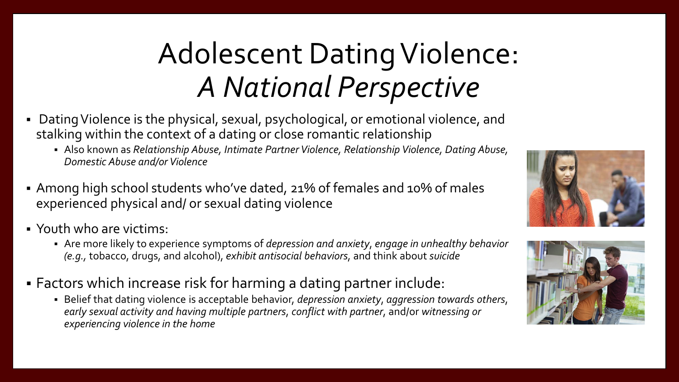# Adolescent Dating Violence: *A National Perspective*

- Dating Violence is the physical, sexual, psychological, or emotional violence, and stalking within the context of a dating or close romantic relationship
	- Also known as *Relationship Abuse, Intimate Partner Violence, Relationship Violence, Dating Abuse, Domestic Abuse and/or Violence*
- Among high school students who've dated, 21% of females and 10% of males experienced physical and/ or sexual dating violence
- Youth who are victims:
	- Are more likely to experience symptoms of *depression and anxiety*, *engage in unhealthy behavior (e.g.,* tobacco, drugs, and alcohol), *exhibit antisocial behaviors*, and think about *suicide*
- Factors which increase risk for harming a dating partner include:
	- Belief that dating violence is acceptable behavior, *depression anxiety*, *aggression towards others*, *early sexual activity and having multiple partners*, *conflict with partner*, and/or *witnessing or experiencing violence in the home*



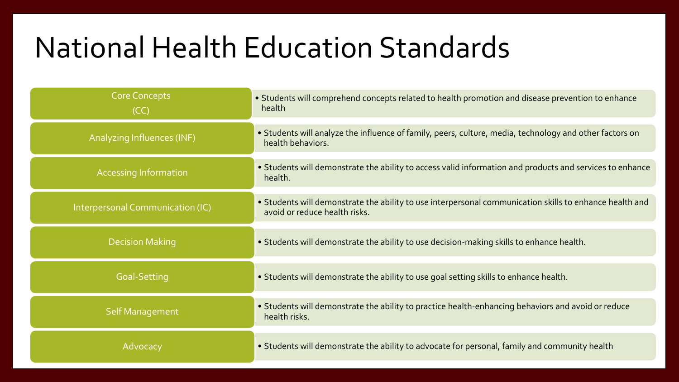### National Health Education Standards

| <b>Core Concepts</b><br>(CC)     | • Students will comprehend concepts related to health promotion and disease prevention to enhance<br>health                              |
|----------------------------------|------------------------------------------------------------------------------------------------------------------------------------------|
| Analyzing Influences (INF)       | • Students will analyze the influence of family, peers, culture, media, technology and other factors on<br>health behaviors.             |
| <b>Accessing Information</b>     | • Students will demonstrate the ability to access valid information and products and services to enhance<br>health.                      |
| Interpersonal Communication (IC) | • Students will demonstrate the ability to use interpersonal communication skills to enhance health and<br>avoid or reduce health risks. |
| <b>Decision Making</b>           | . Students will demonstrate the ability to use decision-making skills to enhance health.                                                 |
| Goal-Setting                     | . Students will demonstrate the ability to use goal setting skills to enhance health.                                                    |
| Self Management                  | • Students will demonstrate the ability to practice health-enhancing behaviors and avoid or reduce<br>health risks.                      |
| Advocacy                         | • Students will demonstrate the ability to advocate for personal, family and community health                                            |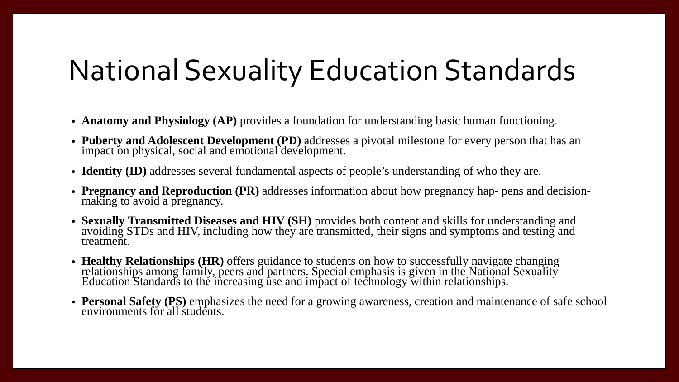### National Sexuality Education Standards

- **Anatomy and Physiology (AP)** provides a foundation for understanding basic human functioning.
- **Puberty and Adolescent Development (PD)** addresses a pivotal milestone for every person that has an impact on physical, social and emotional development.
- **Identity (ID)** addresses several fundamental aspects of people's understanding of who they are.
- **Pregnancy and Reproduction (PR)** addresses information about how pregnancy hap- pens and decision- making to avoid a pregnancy.
- **Sexually Transmitted Diseases and HIV (SH)** provides both content and skills for understanding and avoiding STDs and HIV, including how they are transmitted, their signs and symptoms and testing and treatment.
- **Healthy Relationships (HR)** offers guidance to students on how to successfully navigate changing relationships among family, peers and partners. Special emphasis is given in the National Sexuality Education Standards to the increasing use and impact of technology within relationships.
- **Personal Safety (PS)** emphasizes the need for a growing awareness, creation and maintenance of safe school environments for all students.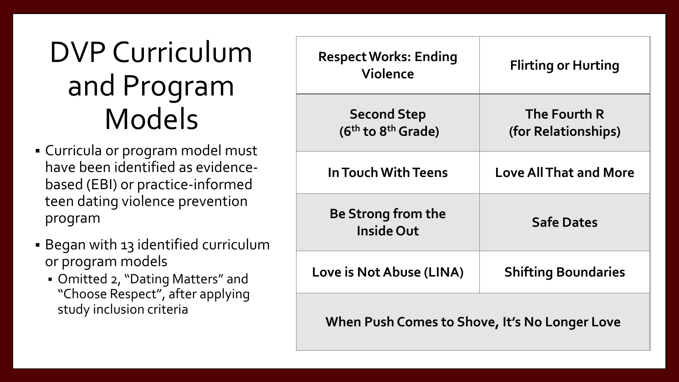## DVP Curriculum and Program Models

- Curricula or program model must have been identified as evidencebased (EBI) or practice-informed teen dating violence prevention program
- Began with 13 identified curriculum or program models
	- Omitted 2, "Dating Matters" and "Choose Respect", after applying study inclusion criteria

| <b>Respect Works: Ending</b><br><b>Violence</b>                  | <b>Flirting or Hurting</b>          |  |  |  |
|------------------------------------------------------------------|-------------------------------------|--|--|--|
| <b>Second Step</b><br>(6 <sup>th</sup> to 8 <sup>th</sup> Grade) | The Fourth R<br>(for Relationships) |  |  |  |
| In Touch With Teens                                              | <b>Love All That and More</b>       |  |  |  |
| Be Strong from the<br><b>Inside Out</b>                          | <b>Safe Dates</b>                   |  |  |  |
| Love is Not Abuse (LINA)                                         | <b>Shifting Boundaries</b>          |  |  |  |
| When Push Comes to Shove, It's No Longer Love                    |                                     |  |  |  |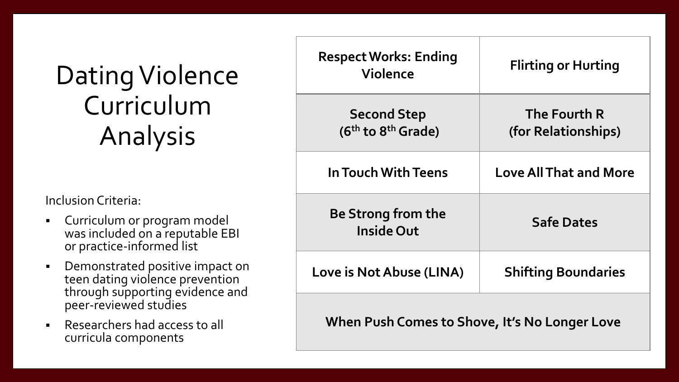#### Dating Violence Curriculum Analysis

Inclusion Criteria:

- Curriculum or program model was included on a reputable EBI or practice-informed list
- **•** Demonstrated positive impact on teen dating violence prevention through supporting evidence and peer-reviewed studies
- Researchers had access to all curricula components **standards**

| <b>Respect Works: Ending</b><br><b>Violence</b> | <b>Flirting or Hurting</b>          |
|-------------------------------------------------|-------------------------------------|
| <b>Second Step</b><br>$(6th$ to $8th$ Grade)    | The Fourth R<br>(for Relationships) |
| In Touch With Teens                             | <b>Love All That and More</b>       |
| Be Strong from the<br><b>Inside Out</b>         | <b>Safe Dates</b>                   |
| Love is Not Abuse (LINA)                        | <b>Shifting Boundaries</b>          |
|                                                 |                                     |

**When Push Comes to Shove, It's No Longer Love**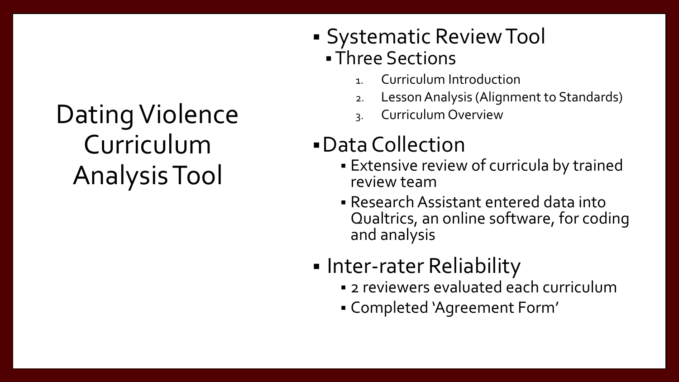### Dating Violence Curriculum Analysis Tool

- Systematic Review Tool Three Sections
	- 1. Curriculum Introduction
	- 2. Lesson Analysis (Alignment to Standards)
	- 3. Curriculum Overview

#### Data Collection

- Extensive review of curricula by trained review team
- Research Assistant entered data into Qualtrics, an online software, for coding and analysis
- **Inter-rater Reliability** 
	- 2 reviewers evaluated each curriculum
	- Completed 'Agreement Form'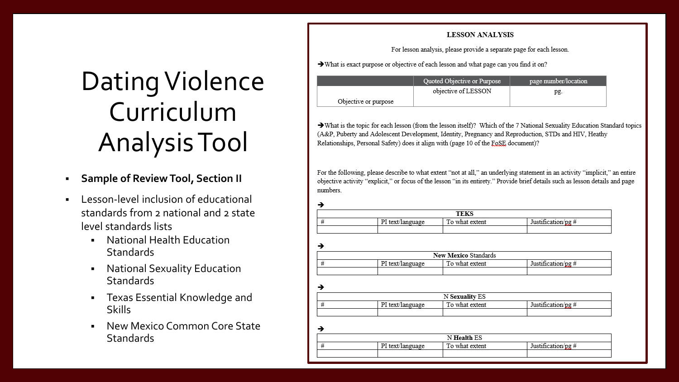## Dating Violence Curriculum Analysis Tool

- **Sample of Review Tool, Section II**
- Lesson-level inclusion of educational standards from 2 national and 2 state level standards lists
	- National Health Education **Standards**
	- **National Sexuality Education Standards**
	- Texas Essential Knowledge and Skills
	- New Mexico Common Core State **Standards**

#### **LESSON ANALYSIS**

For lesson analysis, please provide a separate page for each lesson.

> What is exact purpose or objective of each lesson and what page can you find it on?

 $\blacktriangle$ 

**A** 

|                      | Quoted Objective or Purpose | page number/location |
|----------------------|-----------------------------|----------------------|
|                      | objective of LESSON         | pg.                  |
| Objective or purpose |                             |                      |

> What is the topic for each lesson (from the lesson itself)? Which of the 7 National Sexuality Education Standard topics (A&P, Puberty and Adolescent Development, Identity, Pregnancy and Reproduction, STDs and HIV, Heathy Relationships, Personal Safety) does it align with (page 10 of the FoSE document)?

For the following, please describe to what extent "not at all," an underlying statement in an activity "implicit," an entire objective activity "explicit," or focus of the lesson "in its entirety." Provide brief details such as lesson details and page numbers

|  |                               | <b>TEKS</b>    |       |
|--|-------------------------------|----------------|-------|
|  | $PI$ text/ $I_{\text{max}}$ . | To what extent | Inter |
|  |                               |                |       |

→ New Mexico Standards  $#$ PI text/language To what extent Justification/pg #

|  |                  | <b>N Sexuality ES</b> |                    |
|--|------------------|-----------------------|--------------------|
|  | PI text/language | To what extent        | Justification/pg # |
|  |                  |                       |                    |

N Health ES Justification/pg # PI text/language  $#$ To what extent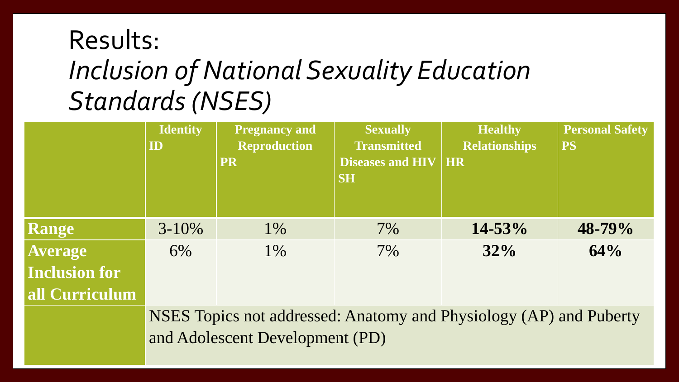#### Results: *Inclusion of National Sexuality Education Standards (NSES)*

|                      | <b>Identity</b><br>ID                                              | <b>Pregnancy and</b><br><b>Reproduction</b><br><b>PR</b> | <b>Sexually</b><br><b>Transmitted</b><br><b>Diseases and HIV</b><br><b>SH</b> | <b>Healthy</b><br><b>Relationships</b><br><b>HR</b> | <b>Personal Safety</b><br><b>PS</b> |  |
|----------------------|--------------------------------------------------------------------|----------------------------------------------------------|-------------------------------------------------------------------------------|-----------------------------------------------------|-------------------------------------|--|
| <b>Range</b>         | $3 - 10\%$                                                         | $1\%$                                                    | $7\%$                                                                         | $14 - 53%$                                          | 48-79%                              |  |
| <b>Average</b>       | 6%                                                                 | $1\%$                                                    | $7\%$                                                                         | 32%                                                 | 64%                                 |  |
| <b>Inclusion for</b> |                                                                    |                                                          |                                                                               |                                                     |                                     |  |
| all Curriculum       |                                                                    |                                                          |                                                                               |                                                     |                                     |  |
|                      | NSES Topics not addressed: Anatomy and Physiology (AP) and Puberty |                                                          |                                                                               |                                                     |                                     |  |
|                      | and Adolescent Development (PD)                                    |                                                          |                                                                               |                                                     |                                     |  |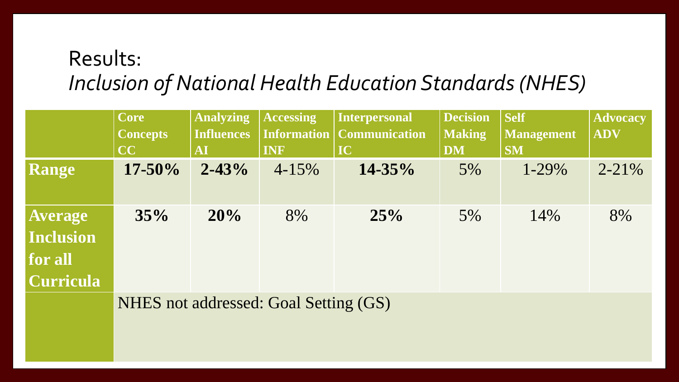#### Results: *Inclusion of National Health Education Standards (NHES)*

|                                                       | <b>Core</b>     | <b>Analyzing</b>  | <b>Accessing</b> | Interpersonal                      | <b>Decision</b> | <b>Self</b> | <b>Advocacy</b> |
|-------------------------------------------------------|-----------------|-------------------|------------------|------------------------------------|-----------------|-------------|-----------------|
|                                                       | <b>Concepts</b> | <b>Influences</b> |                  | <b>Information   Communication</b> | <b>Making</b>   | Management  | <b>ADV</b>      |
|                                                       | CC              | AI                | INF              | IC                                 | <b>DM</b>       | <b>SM</b>   |                 |
| <b>Range</b>                                          | $17 - 50\%$     | $2 - 43%$         | $4 - 15\%$       | $14 - 35\%$                        | 5%              | $1 - 29\%$  | $2 - 21\%$      |
| <b>Average</b><br>Inclusion<br>for all<br>  Curricula | 35%             | 20%               | 8%               | 25%                                | $5\%$           | 14%         | 8%              |
|                                                       | <b>NITTIN</b>   | <u>. 11</u>       | $1 \cap 1 \cap $ | $\sqrt{2}$                         |                 |             |                 |

NHES not addressed: Goal Setting (GS)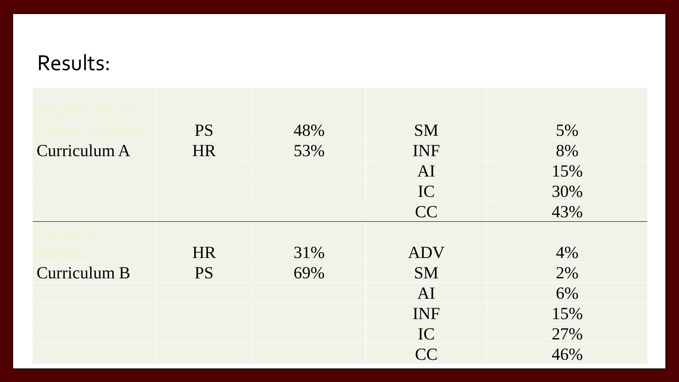| spect Works   |           |     |            |     |
|---------------|-----------|-----|------------|-----|
|               | <b>PS</b> | 48% | <b>SM</b>  | 5%  |
| Curriculum A  | <b>HR</b> | 53% | INF        | 8%  |
|               |           |     | AI         | 15% |
|               |           |     | IC         | 30% |
|               |           |     | CC         | 43% |
| 11 11 11 21 O |           |     |            |     |
|               | <b>HR</b> | 31% | <b>ADV</b> | 4%  |
| Curriculum B  | <b>PS</b> | 69% | <b>SM</b>  | 2%  |
|               |           |     | AI         | 6%  |
|               |           |     | INF        | 15% |
|               |           |     | IC         | 27% |
|               |           |     | CC         | 46% |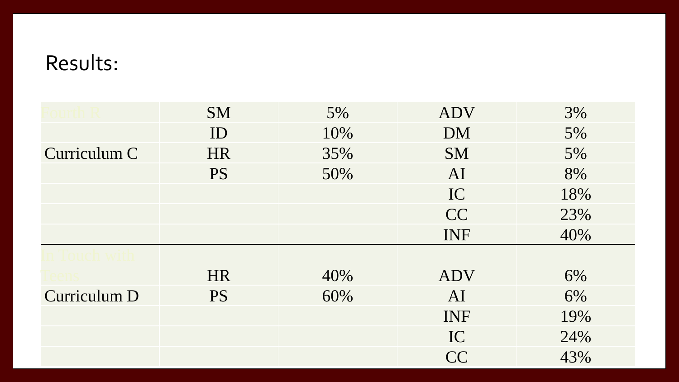|              | <b>SM</b> | 5%  | <b>ADV</b> | 3%  |
|--------------|-----------|-----|------------|-----|
|              | ID        | 10% | <b>DM</b>  | 5%  |
| Curriculum C | <b>HR</b> | 35% | <b>SM</b>  | 5%  |
|              | <b>PS</b> | 50% | AI         | 8%  |
|              |           |     | IC         | 18% |
|              |           |     | CC         | 23% |
|              |           |     | INF        | 40% |
|              |           |     |            |     |
|              | <b>HR</b> | 40% | <b>ADV</b> | 6%  |
| Curriculum D | <b>PS</b> | 60% | AI         | 6%  |
|              |           |     | INF        | 19% |
|              |           |     | IC         | 24% |
|              |           |     | <b>CC</b>  | 43% |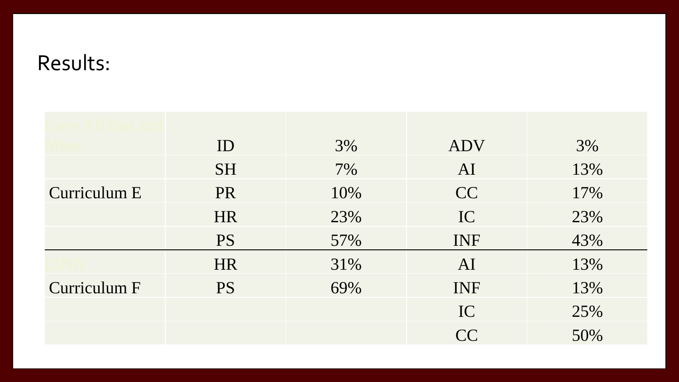| e All that an |           |     |            |     |
|---------------|-----------|-----|------------|-----|
|               | ID        | 3%  | <b>ADV</b> | 3%  |
|               | <b>SH</b> | 7%  | AI         | 13% |
| Curriculum E  | PR        | 10% | CC         | 17% |
|               | <b>HR</b> | 23% | IC         | 23% |
|               | <b>PS</b> | 57% | INF        | 43% |
|               | <b>HR</b> | 31% | AI         | 13% |
| Curriculum F  | <b>PS</b> | 69% | INF        | 13% |
|               |           |     | IC         | 25% |
|               |           |     | CC         | 50% |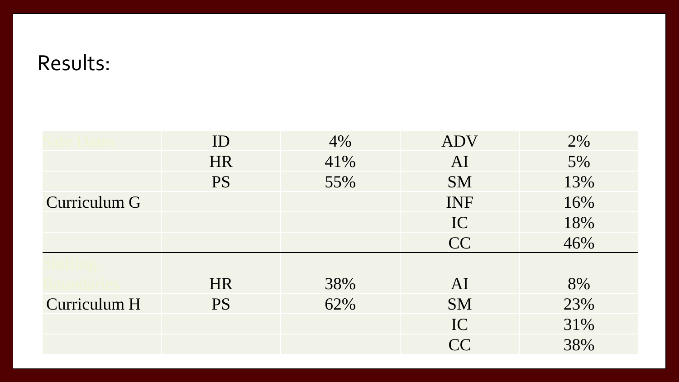|              | ID        | 4%  | <b>ADV</b> | 2%  |
|--------------|-----------|-----|------------|-----|
|              | <b>HR</b> | 41% | AI         | 5%  |
|              | <b>PS</b> | 55% | <b>SM</b>  | 13% |
| Curriculum G |           |     | INF        | 16% |
|              |           |     | IC         | 18% |
|              |           |     | CC         | 46% |
|              |           |     |            |     |
|              | <b>HR</b> | 38% | AI         | 8%  |
| Curriculum H | <b>PS</b> | 62% | <b>SM</b>  | 23% |
|              |           |     | IC         | 31% |
|              |           |     | <b>CC</b>  | 38% |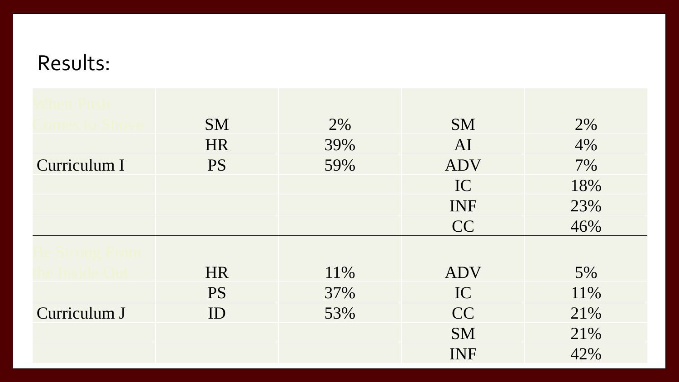| hen Push      |           |     |            |     |
|---------------|-----------|-----|------------|-----|
| omes to Shove | <b>SM</b> | 2%  | <b>SM</b>  | 2%  |
|               | <b>HR</b> | 39% | AI         | 4%  |
| Curriculum I  | <b>PS</b> | 59% | <b>ADV</b> | 7%  |
|               |           |     | IC         | 18% |
|               |           |     | INF        | 23% |
|               |           |     | <b>CC</b>  | 46% |
| Strong From   |           |     |            |     |
| e Inside Ou   | <b>HR</b> | 11% | <b>ADV</b> | 5%  |
|               | <b>PS</b> | 37% | IC         | 11% |
| Curriculum J  | ID        | 53% | <b>CC</b>  | 21% |
|               |           |     | <b>SM</b>  | 21% |
|               |           |     | INF        | 42% |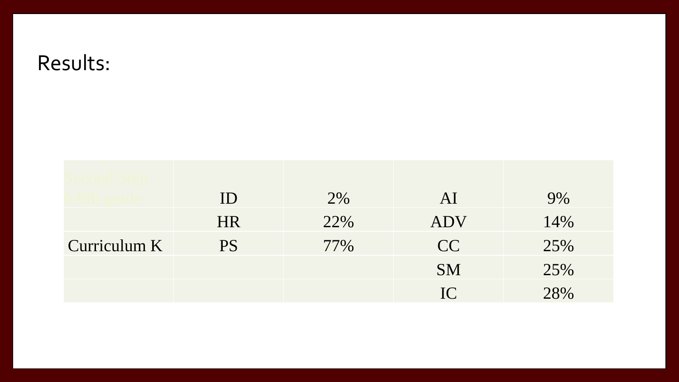|              | ID        | 2%  | AI         | 9%  |
|--------------|-----------|-----|------------|-----|
|              | <b>HR</b> | 22% | <b>ADV</b> | 14% |
| Curriculum K | <b>PS</b> | 77% | CC         | 25% |
|              |           |     | <b>SM</b>  | 25% |
|              |           |     | IC         | 28% |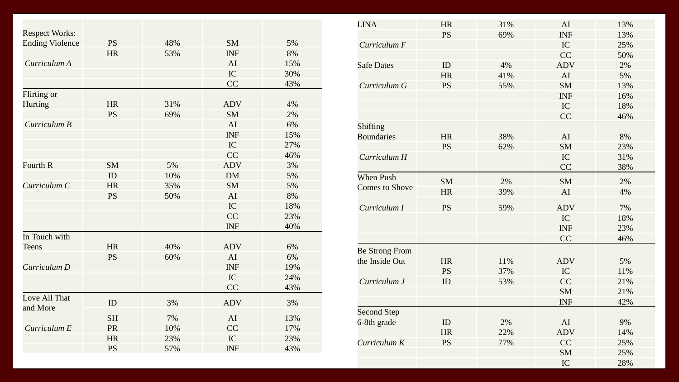| <b>Respect Works:</b>     | <b>PS</b> | 48% | <b>SM</b>  | 5%  |
|---------------------------|-----------|-----|------------|-----|
| <b>Ending Violence</b>    | <b>HR</b> | 53% | <b>INF</b> |     |
|                           |           |     |            | 8%  |
| Curriculum A              |           |     | AI         | 15% |
|                           |           |     | IC         | 30% |
|                           |           |     | CC         | 43% |
| Flirting or               |           |     |            |     |
| <b>Hurting</b>            | <b>HR</b> | 31% | <b>ADV</b> | 4%  |
|                           | <b>PS</b> | 69% | <b>SM</b>  | 2%  |
| Curriculum B              |           |     | AI         | 6%  |
|                           |           |     | <b>INF</b> | 15% |
|                           |           |     | IC         | 27% |
|                           |           |     | CC         | 46% |
| Fourth R                  | <b>SM</b> | 5%  | <b>ADV</b> | 3%  |
|                           | ID        | 10% | <b>DM</b>  | 5%  |
| Curriculum C              | <b>HR</b> | 35% | <b>SM</b>  | 5%  |
|                           | <b>PS</b> | 50% | AI         | 8%  |
|                           |           |     | IC         | 18% |
|                           |           |     | CC         | 23% |
|                           |           |     | <b>INF</b> | 40% |
| In Touch with             |           |     |            |     |
| <b>Teens</b>              | <b>HR</b> | 40% | <b>ADV</b> | 6%  |
|                           | <b>PS</b> | 60% | AI         | 6%  |
| Curriculum D              |           |     | <b>INF</b> | 19% |
|                           |           |     | IC         | 24% |
|                           |           |     | CC         | 43% |
| Love All That<br>and More | ID        | 3%  | <b>ADV</b> | 3%  |
|                           | <b>SH</b> | 7%  | AI         | 13% |
| Curriculum E              | PR        | 10% | CC         | 17% |
|                           | <b>HR</b> | 23% | IC         | 23% |
|                           | <b>PS</b> | 57% | <b>INF</b> | 43% |

| <b>LINA</b>           | <b>HR</b> | 31% | AI         | 13% |
|-----------------------|-----------|-----|------------|-----|
|                       | <b>PS</b> | 69% | <b>INF</b> | 13% |
| Curriculum F          |           |     | IC         | 25% |
|                       |           |     | CC         | 50% |
| <b>Safe Dates</b>     | ID        | 4%  | <b>ADV</b> | 2%  |
|                       | <b>HR</b> | 41% | AI         | 5%  |
| Curriculum G          | <b>PS</b> | 55% | <b>SM</b>  | 13% |
|                       |           |     | <b>INF</b> | 16% |
|                       |           |     | IC         | 18% |
|                       |           |     | CC         | 46% |
| <b>Shifting</b>       |           |     |            |     |
| <b>Boundaries</b>     | <b>HR</b> | 38% | AI         | 8%  |
|                       | <b>PS</b> | 62% | <b>SM</b>  | 23% |
| Curriculum H          |           |     | IC         | 31% |
|                       |           |     | CC         | 38% |
| <b>When Push</b>      | <b>SM</b> | 2%  | <b>SM</b>  | 2%  |
| <b>Comes to Shove</b> | <b>HR</b> | 39% | AI         | 4%  |
|                       |           |     |            |     |
| Curriculum I          | <b>PS</b> | 59% | <b>ADV</b> | 7%  |
|                       |           |     | IC         | 18% |
|                       |           |     | <b>INF</b> | 23% |
|                       |           |     | CC         | 46% |
| <b>Be Strong From</b> |           |     |            |     |
| the Inside Out        | <b>HR</b> | 11% | <b>ADV</b> | 5%  |
|                       | <b>PS</b> | 37% | IC         | 11% |
| Curriculum J          | ID        | 53% | CC         | 21% |
|                       |           |     | <b>SM</b>  | 21% |
|                       |           |     | <b>INF</b> | 42% |
| <b>Second Step</b>    |           |     |            |     |
| 6-8th grade           | ID        | 2%  | AI         | 9%  |
|                       | <b>HR</b> | 22% | <b>ADV</b> | 14% |
| Curriculum K          | <b>PS</b> | 77% | CC         | 25% |
|                       |           |     | <b>SM</b>  | 25% |
|                       |           |     | IC         | 28% |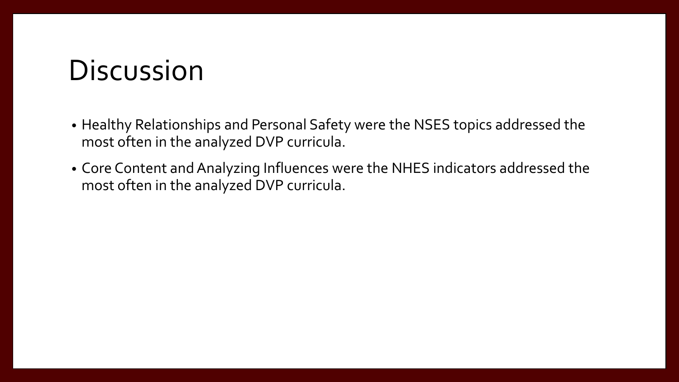#### **Discussion**

- Healthy Relationships and Personal Safety were the NSES topics addressed the most often in the analyzed DVP curricula.
- Core Content and Analyzing Influences were the NHES indicators addressed the most often in the analyzed DVP curricula.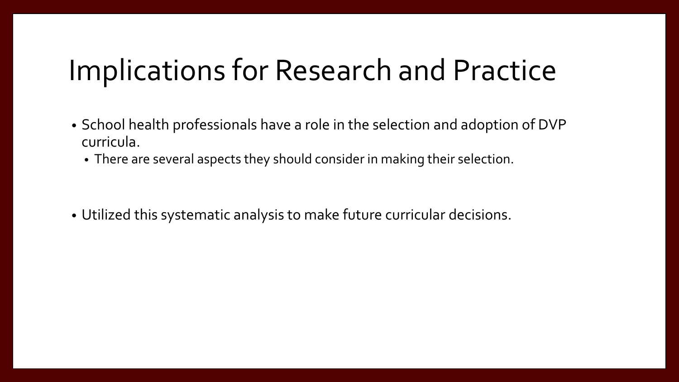### Implications for Research and Practice

- School health professionals have a role in the selection and adoption of DVP curricula.
	- There are several aspects they should consider in making their selection.

• Utilized this systematic analysis to make future curricular decisions.